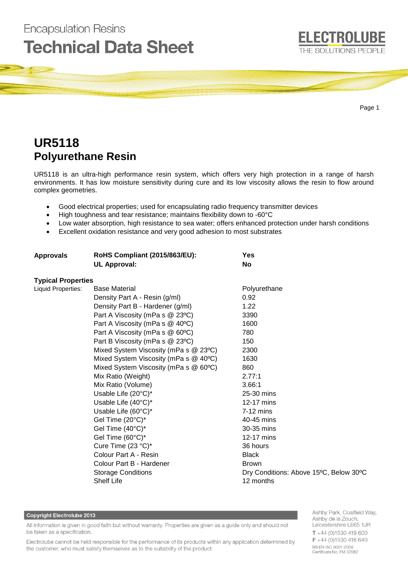

# **UR5118 Polyurethane Resin**

**Encapsulation Resins** 

UR5118 is an ultra-high performance resin system, which offers very high protection in a range of harsh environments. It has low moisture sensitivity during cure and its low viscosity allows the resin to flow around complex geometries.

- Good electrical properties; used for encapsulating radio frequency transmitter devices
- High toughness and tear resistance; maintains flexibility down to -60°C
- Low water absorption, high resistance to sea water; offers enhanced protection under harsh conditions
- Excellent oxidation resistance and very good adhesion to most substrates

| <b>Approvals</b>          | <b>RoHS Compliant (2015/863/EU):</b><br><b>UL Approval:</b> | Yes<br><b>No</b>                       |
|---------------------------|-------------------------------------------------------------|----------------------------------------|
| <b>Typical Properties</b> |                                                             |                                        |
| Liquid Properties:        | <b>Base Material</b>                                        | Polyurethane                           |
|                           | Density Part A - Resin (g/ml)                               | 0.92                                   |
|                           | Density Part B - Hardener (g/ml)                            | 1.22                                   |
|                           | Part A Viscosity (mPa s @ 23°C)                             | 3390                                   |
|                           | Part A Viscosity (mPa s @ 40°C)                             | 1600                                   |
|                           | Part A Viscosity (mPa s @ 60°C)                             | 780                                    |
|                           | Part B Viscosity (mPa s @ 23°C)                             | 150                                    |
|                           | Mixed System Viscosity (mPa s @ 23°C)                       | 2300                                   |
|                           | Mixed System Viscosity (mPa s @ 40°C)                       | 1630                                   |
|                           | Mixed System Viscosity (mPa s @ 60°C)                       | 860                                    |
|                           | Mix Ratio (Weight)                                          | 2.77:1                                 |
|                           | Mix Ratio (Volume)                                          | 3.66:1                                 |
|                           | Usable Life (20°C)*                                         | 25-30 mins                             |
|                           | Usable Life (40°C)*                                         | 12-17 mins                             |
|                           | Usable Life (60°C)*                                         | $7-12$ mins                            |
|                           | Gel Time (20°C)*                                            | 40-45 mins                             |
|                           | Gel Time (40°C)*                                            | 30-35 mins                             |
|                           | Gel Time (60°C)*                                            | 12-17 mins                             |
|                           | Cure Time (23 °C)*                                          | 36 hours                               |
|                           | Colour Part A - Resin                                       | <b>Black</b>                           |
|                           | Colour Part B - Hardener                                    | <b>Brown</b>                           |
|                           | <b>Storage Conditions</b>                                   | Dry Conditions: Above 15°C, Below 30°C |
|                           | <b>Shelf Life</b>                                           | 12 months                              |

## **Copyright Electrolube 2013**

All information is given in good faith but without warranty. Properties are given as a guide only and should not be taken as a specification.

Electrolube cannot be held responsible for the performance of its products within any application determined by the customer, who must satisfy themselves as to the suitability of the product.

Ashby Park, Coalfield Way, Ashby de la Zouch, Leicestershire LE65 1JR  $T + 44(0)1530419600$ F +44 (0)1530 416 640 BS EN ISO 9001:2008 Certificate No. FM 32082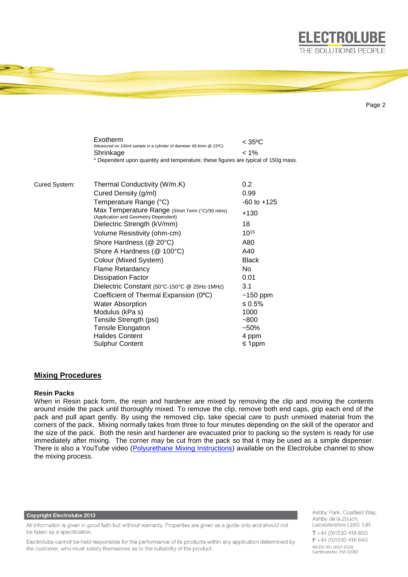

Page 2

|               | Exotherm<br>(Measured on 100ml sample in a cylinder of diameter 49.4mm @ 23°C)          | $<$ 35°C        |
|---------------|-----------------------------------------------------------------------------------------|-----------------|
|               | Shrinkage                                                                               | $< 1\%$         |
|               | * Dependent upon quantity and temperature; these figures are typical of 150g mass.      |                 |
|               |                                                                                         |                 |
| Cured System: | Thermal Conductivity (W/m.K)                                                            | 0.2             |
|               | Cured Density (g/ml)                                                                    | 0.99            |
|               | Temperature Range (°C)                                                                  | $-60$ to $+125$ |
|               | Max Temperature Range (Short Term (°C)/30 mins)<br>(Application and Geometry Dependent) | +130            |
|               | Dielectric Strength (kV/mm)                                                             | 18              |
|               | Volume Resistivity (ohm-cm)                                                             | $10^{15}$       |
|               | Shore Hardness (@ 20°C)                                                                 | A80             |
|               | Shore A Hardness (@ 100°C)                                                              | A40             |
|               | Colour (Mixed System)                                                                   | <b>Black</b>    |
|               | Flame Retardancy                                                                        | <b>No</b>       |
|               | <b>Dissipation Factor</b>                                                               | 0.01            |
|               | Dielectric Constant (50°C-150°C @ 25Hz-1MHz)                                            | 3.1             |
|               | Coefficient of Thermal Expansion (0°C)                                                  | $~150$ ppm      |
|               | <b>Water Absorption</b>                                                                 | ≤ $0.5%$        |
|               | Modulus (kPa s)                                                                         | 1000            |
|               | Tensile Strength (psi)                                                                  | $-800$          |
|               | <b>Tensile Elongation</b>                                                               | $-50%$          |
|               | <b>Halides Content</b>                                                                  | 4 ppm           |
|               | <b>Sulphur Content</b>                                                                  | ≤ 1ppm          |

## **Mixing Procedures**

## **Resin Packs**

When in Resin pack form, the resin and hardener are mixed by removing the clip and moving the contents around inside the pack until thoroughly mixed. To remove the clip, remove both end caps, grip each end of the pack and pull apart gently. By using the removed clip, take special care to push unmixed material from the corners of the pack. Mixing normally takes from three to four minutes depending on the skill of the operator and the size of the pack. Both the resin and hardener are evacuated prior to packing so the system is ready for use immediately after mixing. The corner may be cut from the pack so that it may be used as a simple dispenser. There is also a YouTube video [\(Polyurethane Mixing Instructions\)](https://www.youtube.com/watch?v=hmyCY7GaHoo) available on the Electrolube channel to show the mixing process.

#### **Copyright Electrolube 2013**

All information is given in good faith but without warranty. Properties are given as a guide only and should not be taken as a specification.

Electrolube cannot be held responsible for the performance of its products within any application determined by the customer, who must satisfy themselves as to the suitability of the product.

Ashby Park, Coalfield Way, Ashby de la Zouch, Leicestershire LE65 1JR  $T + 44$  (0)1530 419 600 F +44 (0)1530 416 640 BS EN ISO 9001:2008 Certificate No. FM 32082